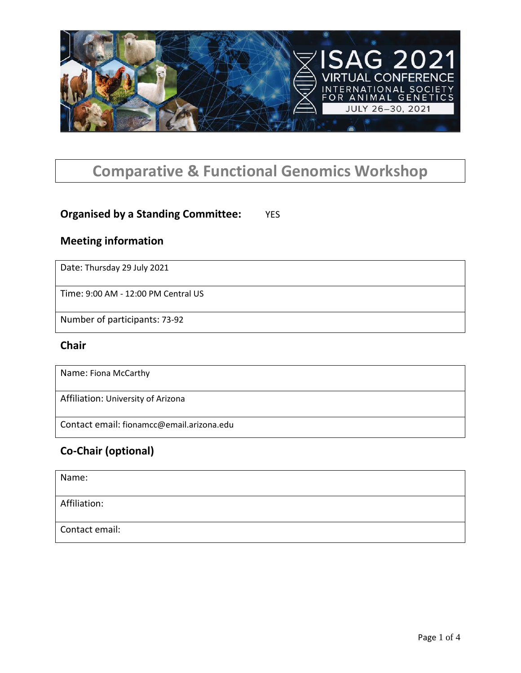

## **Comparative & Functional Genomics Workshop**

## **Organised by a Standing Committee:** YES

## **Meeting information**

Date: Thursday 29 July 2021

Time: 9:00 AM - 12:00 PM Central US

Number of participants: 73-92

#### **Chair**

Name: Fiona McCarthy

Affiliation: University of Arizona

Contact email: fionamcc@email.arizona.edu

## **Co-Chair (optional)**

| Name:          |  |
|----------------|--|
| Affiliation:   |  |
| Contact email: |  |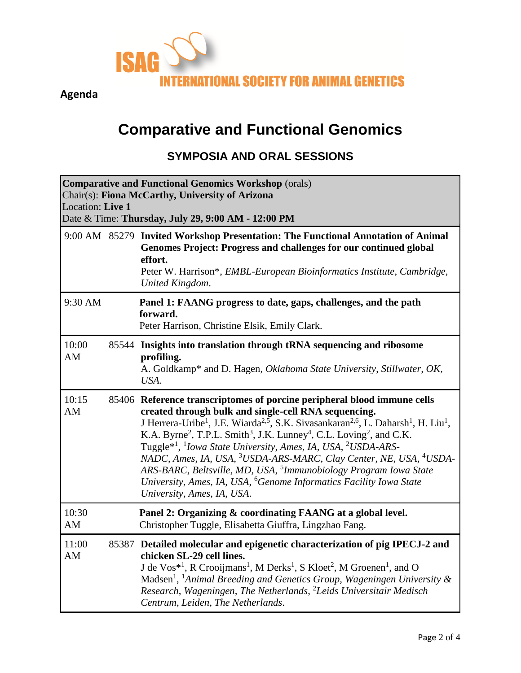

**Agenda**

# **Comparative and Functional Genomics**

## **SYMPOSIA AND ORAL SESSIONS**

| <b>Comparative and Functional Genomics Workshop (orals)</b><br>Chair(s): Fiona McCarthy, University of Arizona<br>Location: Live 1<br>Date & Time: Thursday, July 29, 9:00 AM - 12:00 PM |       |                                                                                                                                                                                                                                                                                                                                                                                                                                                                                                                                                                                                                                                                                                                                                                                                            |  |  |  |  |  |
|------------------------------------------------------------------------------------------------------------------------------------------------------------------------------------------|-------|------------------------------------------------------------------------------------------------------------------------------------------------------------------------------------------------------------------------------------------------------------------------------------------------------------------------------------------------------------------------------------------------------------------------------------------------------------------------------------------------------------------------------------------------------------------------------------------------------------------------------------------------------------------------------------------------------------------------------------------------------------------------------------------------------------|--|--|--|--|--|
|                                                                                                                                                                                          |       | 9:00 AM 85279 Invited Workshop Presentation: The Functional Annotation of Animal<br>Genomes Project: Progress and challenges for our continued global<br>effort.<br>Peter W. Harrison*, EMBL-European Bioinformatics Institute, Cambridge,<br>United Kingdom.                                                                                                                                                                                                                                                                                                                                                                                                                                                                                                                                              |  |  |  |  |  |
| 9:30 AM                                                                                                                                                                                  |       | Panel 1: FAANG progress to date, gaps, challenges, and the path<br>forward.<br>Peter Harrison, Christine Elsik, Emily Clark.                                                                                                                                                                                                                                                                                                                                                                                                                                                                                                                                                                                                                                                                               |  |  |  |  |  |
| 10:00<br>AM                                                                                                                                                                              |       | 85544 Insights into translation through tRNA sequencing and ribosome<br>profiling.<br>A. Goldkamp* and D. Hagen, Oklahoma State University, Stillwater, OK,<br>USA.                                                                                                                                                                                                                                                                                                                                                                                                                                                                                                                                                                                                                                        |  |  |  |  |  |
| 10:15<br>AM                                                                                                                                                                              |       | 85406 Reference transcriptomes of porcine peripheral blood immune cells<br>created through bulk and single-cell RNA sequencing.<br>J Herrera-Uribe <sup>1</sup> , J.E. Wiarda <sup>2,5</sup> , S.K. Sivasankaran <sup>2,6</sup> , L. Daharsh <sup>1</sup> , H. Liu <sup>1</sup> ,<br>K.A. Byrne <sup>2</sup> , T.P.L. Smith <sup>3</sup> , J.K. Lunney <sup>4</sup> , C.L. Loving <sup>2</sup> , and C.K.<br>Tuggle <sup>*1</sup> , <sup>1</sup> Iowa State University, Ames, IA, USA, <sup>2</sup> USDA-ARS-<br>NADC, Ames, IA, USA, <sup>3</sup> USDA-ARS-MARC, Clay Center, NE, USA, <sup>4</sup> USDA-<br>ARS-BARC, Beltsville, MD, USA, <sup>5</sup> Immunobiology Program Iowa State<br>University, Ames, IA, USA, <sup>6</sup> Genome Informatics Facility Iowa State<br>University, Ames, IA, USA. |  |  |  |  |  |
| 10:30<br>AM                                                                                                                                                                              |       | Panel 2: Organizing & coordinating FAANG at a global level.<br>Christopher Tuggle, Elisabetta Giuffra, Lingzhao Fang.                                                                                                                                                                                                                                                                                                                                                                                                                                                                                                                                                                                                                                                                                      |  |  |  |  |  |
| 11:00<br>AM                                                                                                                                                                              | 85387 | Detailed molecular and epigenetic characterization of pig IPECJ-2 and<br>chicken SL-29 cell lines.<br>J de Vos <sup>*1</sup> , R Crooijmans <sup>1</sup> , M Derks <sup>1</sup> , S Kloet <sup>2</sup> , M Groenen <sup>1</sup> , and O<br>Madsen <sup>1</sup> , <sup>1</sup> Animal Breeding and Genetics Group, Wageningen University &<br>Research, Wageningen, The Netherlands, <sup>2</sup> Leids Universitair Medisch<br>Centrum, Leiden, The Netherlands.                                                                                                                                                                                                                                                                                                                                           |  |  |  |  |  |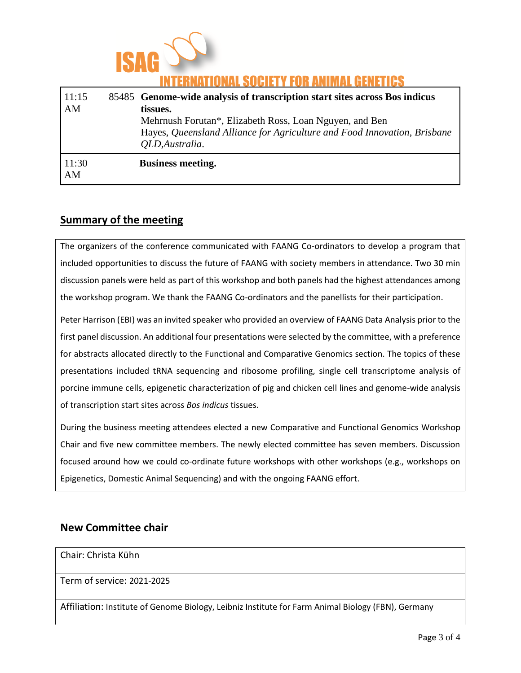

## INATIONAL SOCIETY FOR ANIMAL GENETICS

| 11:15<br>AM | 85485 Genome-wide analysis of transcription start sites across Bos indicus<br>tissues.<br>Mehrnush Forutan <sup>*</sup> , Elizabeth Ross, Loan Nguyen, and Ben<br>Hayes, Queensland Alliance for Agriculture and Food Innovation, Brisbane<br>QLD, Australia. |
|-------------|---------------------------------------------------------------------------------------------------------------------------------------------------------------------------------------------------------------------------------------------------------------|
| 11:30<br>AM | <b>Business meeting.</b>                                                                                                                                                                                                                                      |

## **Summary of the meeting**

The organizers of the conference communicated with FAANG Co-ordinators to develop a program that included opportunities to discuss the future of FAANG with society members in attendance. Two 30 min discussion panels were held as part of this workshop and both panels had the highest attendances among the workshop program. We thank the FAANG Co-ordinators and the panellists for their participation.

Peter Harrison (EBI) was an invited speaker who provided an overview of FAANG Data Analysis prior to the first panel discussion. An additional four presentations were selected by the committee, with a preference for abstracts allocated directly to the Functional and Comparative Genomics section. The topics of these presentations included tRNA sequencing and ribosome profiling, single cell transcriptome analysis of porcine immune cells, epigenetic characterization of pig and chicken cell lines and genome-wide analysis of transcription start sites across *Bos indicus* tissues.

During the business meeting attendees elected a new Comparative and Functional Genomics Workshop Chair and five new committee members. The newly elected committee has seven members. Discussion focused around how we could co-ordinate future workshops with other workshops (e.g., workshops on Epigenetics, Domestic Animal Sequencing) and with the ongoing FAANG effort.

## **New Committee chair**

Chair: Christa Kühn

Term of service: 2021-2025

Affiliation: Institute of Genome Biology, Leibniz Institute for Farm Animal Biology (FBN), Germany